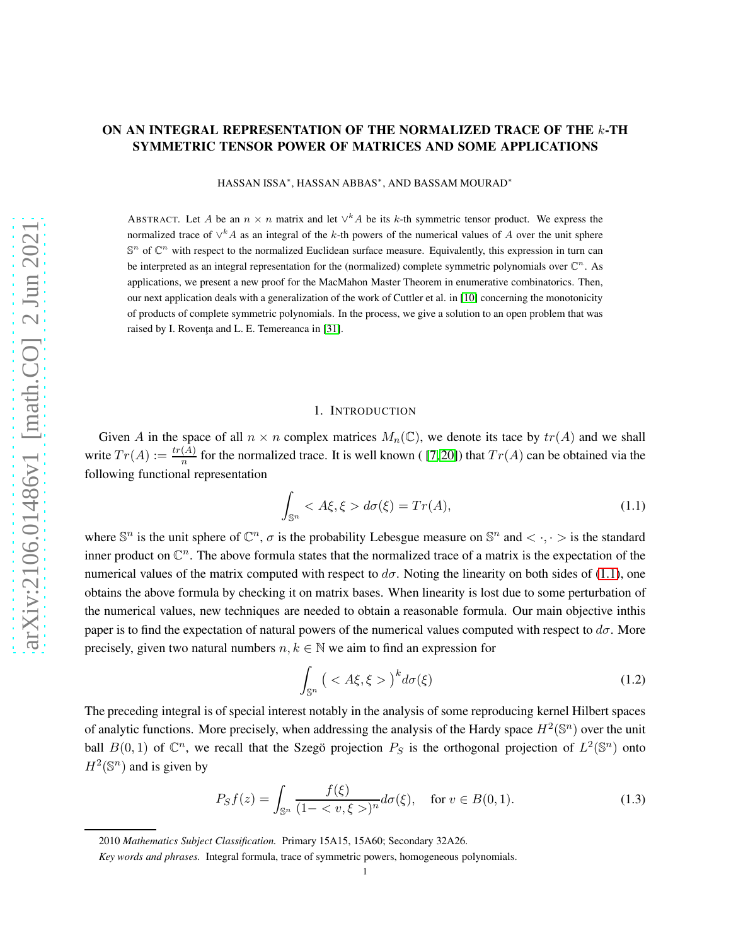## ON AN INTEGRAL REPRESENTATION OF THE NORMALIZED TRACE OF THE k-TH SYMMETRIC TENSOR POWER OF MATRICES AND SOME APPLICATIONS

HASSAN ISSA<sup>∗</sup> , HASSAN ABBAS<sup>∗</sup> , AND BASSAM MOURAD<sup>∗</sup>

ABSTRACT. Let A be an  $n \times n$  matrix and let  $\vee^k A$  be its k-th symmetric tensor product. We express the normalized trace of  $\vee^k A$  as an integral of the k-th powers of the numerical values of A over the unit sphere  $\mathbb{S}^n$  of  $\mathbb{C}^n$  with respect to the normalized Euclidean surface measure. Equivalently, this expression in turn can be interpreted as an integral representation for the (normalized) complete symmetric polynomials over  $\mathbb{C}^n$ . As applications, we present a new proof for the MacMahon Master Theorem in enumerative combinatorics. Then, our next application deals with a generalization of the work of Cuttler et al. in [\[10\]](#page-14-0) concerning the monotonicity of products of complete symmetric polynomials. In the process, we give a solution to an open problem that was raised by I. Rovența and L. E. Temereanca in [\[31\]](#page-15-0).

### 1. INTRODUCTION

Given A in the space of all  $n \times n$  complex matrices  $M_n(\mathbb{C})$ , we denote its tace by  $tr(A)$  and we shall write  $Tr(A) := \frac{tr(A)}{n}$  for the normalized trace. It is well known ([7,20]) that  $Tr(A)$  can be obtained via the following functional representation

<span id="page-0-0"></span>
$$
\int_{\mathbb{S}^n} < A\xi, \xi > d\sigma(\xi) = \operatorname{Tr}(A),\tag{1.1}
$$

where  $\mathbb{S}^n$  is the unit sphere of  $\mathbb{C}^n$ ,  $\sigma$  is the probability Lebesgue measure on  $\mathbb{S}^n$  and  $\langle \cdot, \cdot \rangle$  is the standard inner product on  $\mathbb{C}^n$ . The above formula states that the normalized trace of a matrix is the expectation of the numerical values of the matrix computed with respect to  $d\sigma$ . Noting the linearity on both sides of [\(1.1\)](#page-0-0), one obtains the above formula by checking it on matrix bases. When linearity is lost due to some perturbation of the numerical values, new techniques are needed to obtain a reasonable formula. Our main objective inthis paper is to find the expectation of natural powers of the numerical values computed with respect to  $d\sigma$ . More precisely, given two natural numbers  $n, k \in \mathbb{N}$  we aim to find an expression for

<span id="page-0-1"></span>
$$
\int_{\mathbb{S}^n} \left( \langle A\xi, \xi \rangle \right)^k d\sigma(\xi) \tag{1.2}
$$

The preceding integral is of special interest notably in the analysis of some reproducing kernel Hilbert spaces of analytic functions. More precisely, when addressing the analysis of the Hardy space  $H^2(\mathbb{S}^n)$  over the unit ball  $B(0,1)$  of  $\mathbb{C}^n$ , we recall that the Szegö projection  $P_S$  is the orthogonal projection of  $L^2(\mathbb{S}^n)$  onto  $H^2(\mathbb{S}^n)$  and is given by

$$
P_S f(z) = \int_{\mathbb{S}^n} \frac{f(\xi)}{(1 - \langle v, \xi \rangle)^n} d\sigma(\xi), \quad \text{for } v \in B(0, 1). \tag{1.3}
$$

<sup>2010</sup> *Mathematics Subject Classification.* Primary 15A15, 15A60; Secondary 32A26.

*Key words and phrases.* Integral formula, trace of symmetric powers, homogeneous polynomials.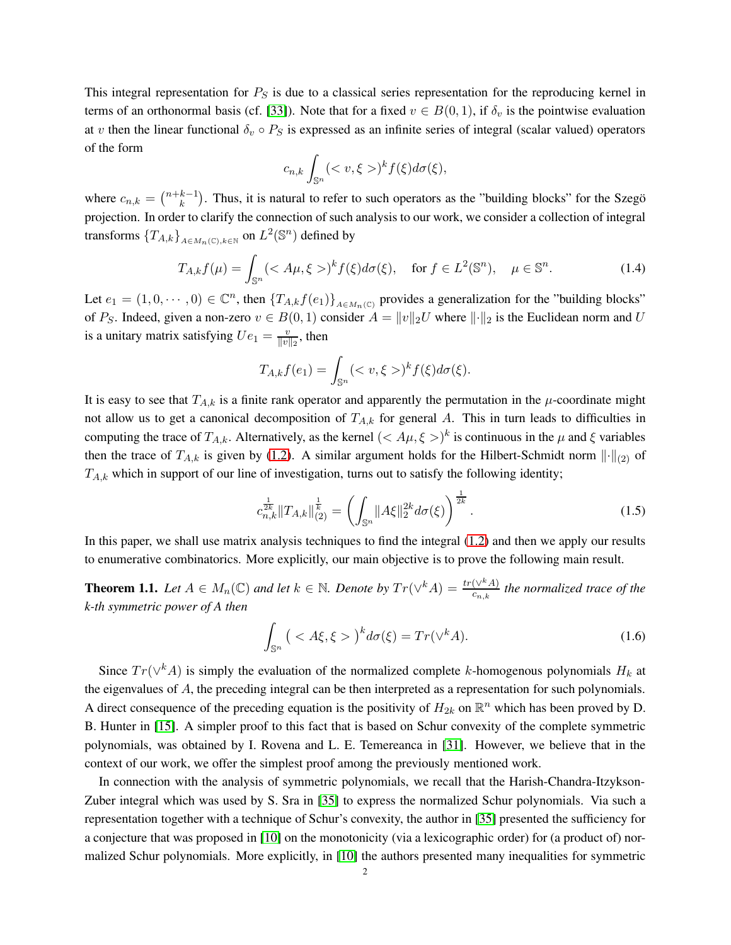This integral representation for  $P_S$  is due to a classical series representation for the reproducing kernel in terms of an orthonormal basis (cf. [\[33\]](#page-15-2)). Note that for a fixed  $v \in B(0,1)$ , if  $\delta_v$  is the pointwise evaluation at v then the linear functional  $\delta_v \circ P_S$  is expressed as an infinite series of integral (scalar valued) operators of the form

$$
c_{n,k}\int_{\mathbb{S}^n}()^k f(\xi)d\sigma(\xi),
$$

where  $c_{n,k} = \binom{n+k-1}{k}$  $k<sup>k-1</sup>$ ). Thus, it is natural to refer to such operators as the "building blocks" for the Szegö projection. In order to clarify the connection of such analysis to our work, we consider a collection of integral transforms  ${T_{A,k}}_{A \in M_n(\mathbb{C}), k \in \mathbb{N}}$  on  $L^2(\mathbb{S}^n)$  defined by

$$
T_{A,k}f(\mu) = \int_{\mathbb{S}^n} ()^k f(\xi) d\sigma(\xi), \quad \text{for } f \in L^2(\mathbb{S}^n), \quad \mu \in \mathbb{S}^n. \tag{1.4}
$$

Let  $e_1 = (1, 0, \dots, 0) \in \mathbb{C}^n$ , then  $\{T_{A,k}f(e_1)\}_{A \in M_n(\mathbb{C})}$  provides a generalization for the "building blocks" of P<sub>S</sub>. Indeed, given a non-zero  $v \in B(0, 1)$  consider  $A = ||v||_2 U$  where  $||\cdot||_2$  is the Euclidean norm and U is a unitary matrix satisfying  $Ue_1 = \frac{v}{||v||}$  $\frac{v}{\|v\|_2}$ , then

$$
T_{A,k}f(e_1) = \int_{\mathbb{S}^n} ()^k f(\xi) d\sigma(\xi).
$$

It is easy to see that  $T_{A,k}$  is a finite rank operator and apparently the permutation in the  $\mu$ -coordinate might not allow us to get a canonical decomposition of  $T_{A,k}$  for general A. This in turn leads to difficulties in computing the trace of  $T_{A,k}$ . Alternatively, as the kernel  $(< A\mu, \xi>)^k$  is continuous in the  $\mu$  and  $\xi$  variables then the trace of  $T_{A,k}$  is given by [\(1.2\)](#page-0-1). A similar argument holds for the Hilbert-Schmidt norm  $\|\cdot\|_{(2)}$  of  $T_{A,k}$  which in support of our line of investigation, turns out to satisfy the following identity;

$$
c_{n,k}^{\frac{1}{2k}} \|T_{A,k}\|_{(2)}^{\frac{1}{k}} = \left(\int_{\mathbb{S}^n} \|A\xi\|_2^{2k} d\sigma(\xi)\right)^{\frac{1}{2k}}.\tag{1.5}
$$

In this paper, we shall use matrix analysis techniques to find the integral [\(1.2\)](#page-0-1) and then we apply our results to enumerative combinatorics. More explicitly, our main objective is to prove the following main result.

**Theorem 1.1.** Let  $A \in M_n(\mathbb{C})$  and let  $k \in \mathbb{N}$ . Denote by  $Tr(\vee^k A) = \frac{tr(\vee^k A)}{c_{n,k}}$  the normalized trace of the *k-th symmetric power of A then*

$$
\int_{\mathbb{S}^n} \left( \langle A\xi, \xi \rangle \right)^k d\sigma(\xi) = Tr(\vee^k A). \tag{1.6}
$$

Since  $Tr(\vee^k A)$  is simply the evaluation of the normalized complete k-homogenous polynomials  $H_k$  at the eigenvalues of A, the preceding integral can be then interpreted as a representation for such polynomials. A direct consequence of the preceding equation is the positivity of  $H_{2k}$  on  $\mathbb{R}^n$  which has been proved by D. B. Hunter in [\[15\]](#page-14-2). A simpler proof to this fact that is based on Schur convexity of the complete symmetric polynomials, was obtained by I. Rovena and L. E. Temereanca in [\[31\]](#page-15-0). However, we believe that in the context of our work, we offer the simplest proof among the previously mentioned work.

In connection with the analysis of symmetric polynomials, we recall that the Harish-Chandra-Itzykson-Zuber integral which was used by S. Sra in [\[35\]](#page-15-3) to express the normalized Schur polynomials. Via such a representation together with a technique of Schur's convexity, the author in [\[35\]](#page-15-3) presented the sufficiency for a conjecture that was proposed in [\[10\]](#page-14-0) on the monotonicity (via a lexicographic order) for (a product of) normalized Schur polynomials. More explicitly, in [\[10\]](#page-14-0) the authors presented many inequalities for symmetric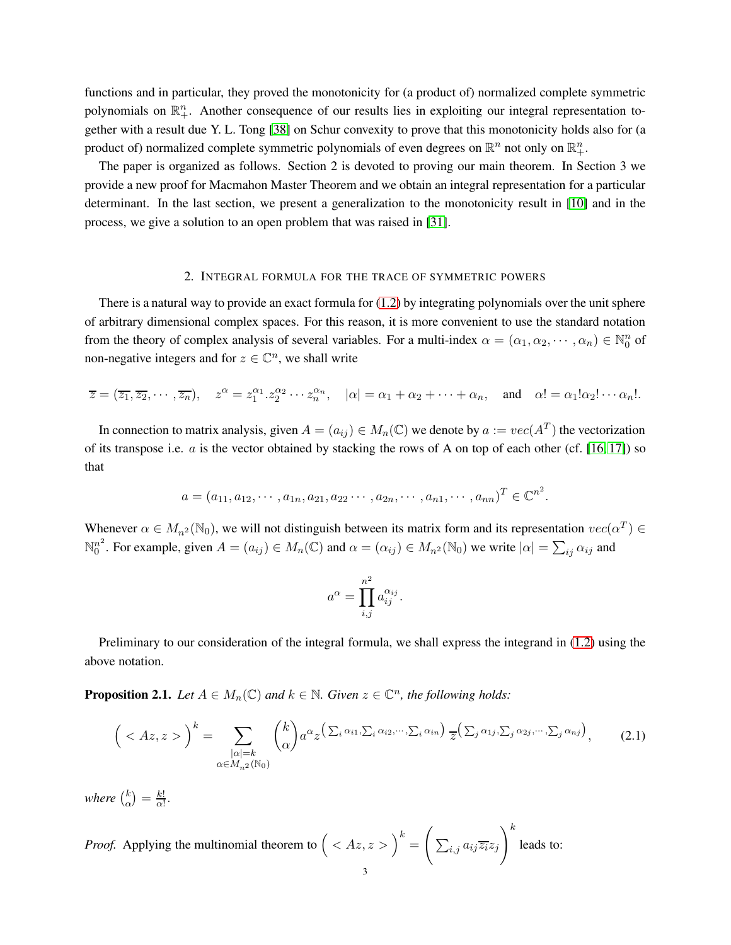functions and in particular, they proved the monotonicity for (a product of) normalized complete symmetric polynomials on  $\mathbb{R}^n_+$ . Another consequence of our results lies in exploiting our integral representation together with a result due Y. L. Tong [\[38\]](#page-15-4) on Schur convexity to prove that this monotonicity holds also for (a product of) normalized complete symmetric polynomials of even degrees on  $\mathbb{R}^n$  not only on  $\mathbb{R}^n_+$ .

The paper is organized as follows. Section 2 is devoted to proving our main theorem. In Section 3 we provide a new proof for Macmahon Master Theorem and we obtain an integral representation for a particular determinant. In the last section, we present a generalization to the monotonicity result in [\[10\]](#page-14-0) and in the process, we give a solution to an open problem that was raised in [\[31\]](#page-15-0).

#### 2. INTEGRAL FORMULA FOR THE TRACE OF SYMMETRIC POWERS

There is a natural way to provide an exact formula for [\(1.2\)](#page-0-1) by integrating polynomials over the unit sphere of arbitrary dimensional complex spaces. For this reason, it is more convenient to use the standard notation from the theory of complex analysis of several variables. For a multi-index  $\alpha = (\alpha_1, \alpha_2, \dots, \alpha_n) \in \mathbb{N}_0^n$  of non-negative integers and for  $z \in \mathbb{C}^n$ , we shall write

$$
\overline{z} = (\overline{z_1}, \overline{z_2}, \cdots, \overline{z_n}), \quad z^{\alpha} = z_1^{\alpha_1} \cdot z_2^{\alpha_2} \cdots z_n^{\alpha_n}, \quad |\alpha| = \alpha_1 + \alpha_2 + \cdots + \alpha_n, \quad \text{and} \quad \alpha! = \alpha_1! \alpha_2! \cdots \alpha_n!.
$$

In connection to matrix analysis, given  $A = (a_{ij}) \in M_n(\mathbb{C})$  we denote by  $a := vec(A^T)$  the vectorization of its transpose i.e.  $a$  is the vector obtained by stacking the rows of A on top of each other (cf. [\[16,](#page-14-3) [17\]](#page-14-4)) so that

$$
a = (a_{11}, a_{12}, \cdots, a_{1n}, a_{21}, a_{22}, \cdots, a_{2n}, \cdots, a_{n1}, \cdots, a_{nn})^T \in \mathbb{C}^{n^2}.
$$

Whenever  $\alpha \in M_{n^2}(\mathbb{N}_0)$ , we will not distinguish between its matrix form and its representation  $vec(\alpha^T) \in$  $\mathbb{N}_\alpha^{n^2}$  $\alpha_0^{n^2}$ . For example, given  $A = (a_{ij}) \in M_n(\mathbb{C})$  and  $\alpha = (\alpha_{ij}) \in M_{n^2}(\mathbb{N}_0)$  we write  $|\alpha| = \sum_{ij} \alpha_{ij}$  and

$$
a^{\alpha} = \prod_{i,j}^{n^2} a_{ij}^{\alpha_{ij}}.
$$

Preliminary to our consideration of the integral formula, we shall express the integrand in [\(1.2\)](#page-0-1) using the above notation.

<span id="page-2-1"></span>**Proposition 2.1.** *Let*  $A \in M_n(\mathbb{C})$  *and*  $k \in \mathbb{N}$ *. Given*  $z \in \mathbb{C}^n$ *, the following holds:* 

<span id="page-2-0"></span>
$$
\left( \langle Az, z \rangle \right)^k = \sum_{\substack{|\alpha|=k \\ \alpha \in M_{n^2}(\mathbb{N}_0)}} \binom{k}{\alpha} a^{\alpha} z^{\left( \sum_i \alpha_{i1}, \sum_i \alpha_{i2}, \cdots, \sum_i \alpha_{in} \right)} \overline{z}^{\left( \sum_j \alpha_{1j}, \sum_j \alpha_{2j}, \cdots, \sum_j \alpha_{nj} \right)}, \tag{2.1}
$$

where  $\binom{k}{\alpha}$  $\binom{k}{\alpha} = \frac{k!}{\alpha!}$  $\frac{k!}{\alpha!}$ .

*Proof.* Applying the multinomial theorem to  $($  <  $Az, z$  >  $)$ <sup>k</sup> =  $\sqrt{ }$  $\sum_{i,j} a_{ij} \overline{z_i} z_j$  $\setminus^k$ leads to: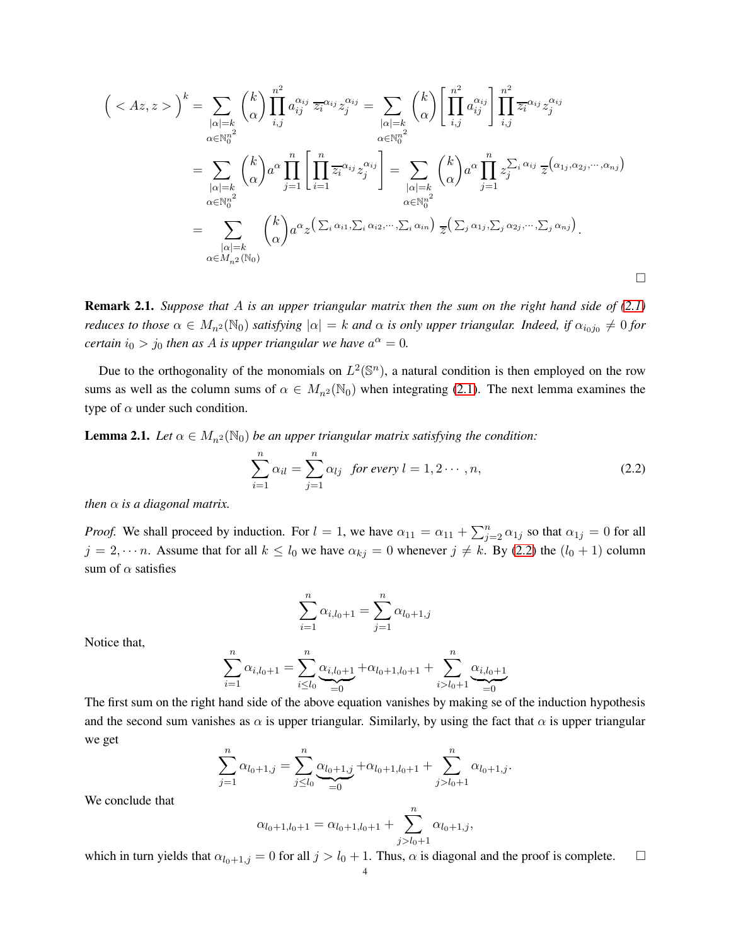$$
\left(\langle A z, z \rangle\right)^k = \sum_{\substack{|\alpha|=k \ \alpha \in \mathbb{N}_0^{n^2}}} \binom{k}{\alpha} \prod_{i,j}^{n^2} a_{ij}^{\alpha_{ij}} \overline{z_i}^{\alpha_{ij}} z_j^{\alpha_{ij}} = \sum_{\substack{|\alpha|=k \ \alpha \in \mathbb{N}_0^{n^2}}} \binom{k}{\alpha} \left[\prod_{i,j}^{n^2} a_{ij}^{\alpha_{ij}}\right] \prod_{i,j}^{n^2} \overline{z_i}^{\alpha_{ij}} z_j^{\alpha_{ij}}
$$

$$
= \sum_{\substack{|\alpha|=k \ \alpha \in \mathbb{N}_0^{n^2}}} \binom{k}{\alpha} a^{\alpha} \prod_{j=1}^n \left[\prod_{i=1}^n \overline{z_i}^{\alpha_{ij}} z_j^{\alpha_{ij}}\right] = \sum_{\substack{|\alpha|=k \ \alpha \in \mathbb{N}_0^{n^2}}} \binom{k}{\alpha} a^{\alpha} \prod_{j=1}^n z_j^{\sum_i \alpha_{ij}} \overline{z_j}^{\alpha_{ij}} \overline{z_j}^{\alpha_{ij}}
$$

$$
= \sum_{\substack{|\alpha|=k \ \alpha \in \mathbb{N}_0^{n^2}}} \binom{k}{\alpha} a^{\alpha} z^{\left(\sum_i \alpha_{i1}, \sum_i \alpha_{i2}, \cdots, \sum_i \alpha_{in}\right)} \overline{z_j}^{\left(\sum_j \alpha_{1j}, \sum_j \alpha_{2j}, \cdots, \sum_j \alpha_{nj}\right)}.
$$

<span id="page-3-1"></span>Remark 2.1. *Suppose that* A *is an upper triangular matrix then the sum on the right hand side of [\(2.1\)](#page-2-0) reduces to those*  $\alpha \in M_{n^2}(\mathbb{N}_0)$  *satisfying*  $|\alpha| = k$  *and*  $\alpha$  *is only upper triangular. Indeed, if*  $\alpha_{i_0j_0} \neq 0$  *for certain*  $i_0 > j_0$  *then as A is upper triangular we have*  $a^{\alpha} = 0$ *.* 

Due to the orthogonality of the monomials on  $L^2(\mathbb{S}^n)$ , a natural condition is then employed on the row sums as well as the column sums of  $\alpha \in M_{n^2}(\mathbb{N}_0)$  when integrating [\(2.1\)](#page-2-0). The next lemma examines the type of  $\alpha$  under such condition.

<span id="page-3-2"></span>**Lemma 2.1.** *Let*  $\alpha \in M_{n^2}(\mathbb{N}_0)$  *be an upper triangular matrix satisfying the condition:* 

<span id="page-3-0"></span>
$$
\sum_{i=1}^{n} \alpha_{il} = \sum_{j=1}^{n} \alpha_{lj} \text{ for every } l = 1, 2 \cdots, n,
$$
\n(2.2)

*then*  $\alpha$  *is a diagonal matrix.* 

*Proof.* We shall proceed by induction. For  $l = 1$ , we have  $\alpha_{11} = \alpha_{11} + \sum_{j=2}^{n} \alpha_{1j}$  so that  $\alpha_{1j} = 0$  for all  $j = 2, \dots n$ . Assume that for all  $k \leq l_0$  we have  $\alpha_{kj} = 0$  whenever  $j \neq k$ . By [\(2.2\)](#page-3-0) the  $(l_0 + 1)$  column sum of  $\alpha$  satisfies

$$
\sum_{i=1}^{n} \alpha_{i,l_0+1} = \sum_{j=1}^{n} \alpha_{l_0+1,j}
$$

Notice that,

$$
\sum_{i=1}^{n} \alpha_{i,l_0+1} = \sum_{i \le l_0}^{n} \underbrace{\alpha_{i,l_0+1}}_{=0} + \alpha_{l_0+1,l_0+1} + \sum_{i > l_0+1}^{n} \underbrace{\alpha_{i,l_0+1}}_{=0}
$$

The first sum on the right hand side of the above equation vanishes by making se of the induction hypothesis and the second sum vanishes as  $\alpha$  is upper triangular. Similarly, by using the fact that  $\alpha$  is upper triangular we get

$$
\sum_{j=1}^{n} \alpha_{l_0+1,j} = \sum_{j \le l_0}^{n} \underbrace{\alpha_{l_0+1,j}}_{=0} + \alpha_{l_0+1,l_0+1} + \sum_{j > l_0+1}^{n} \alpha_{l_0+1,j}.
$$

We conclude that

$$
\alpha_{l_0+1,l_0+1} = \alpha_{l_0+1,l_0+1} + \sum_{j>l_0+1}^{n} \alpha_{l_0+1,j},
$$

which in turn yields that  $\alpha_{l_0+1,j} = 0$  for all  $j > l_0 + 1$ . Thus,  $\alpha$  is diagonal and the proof is complete.  $\Box$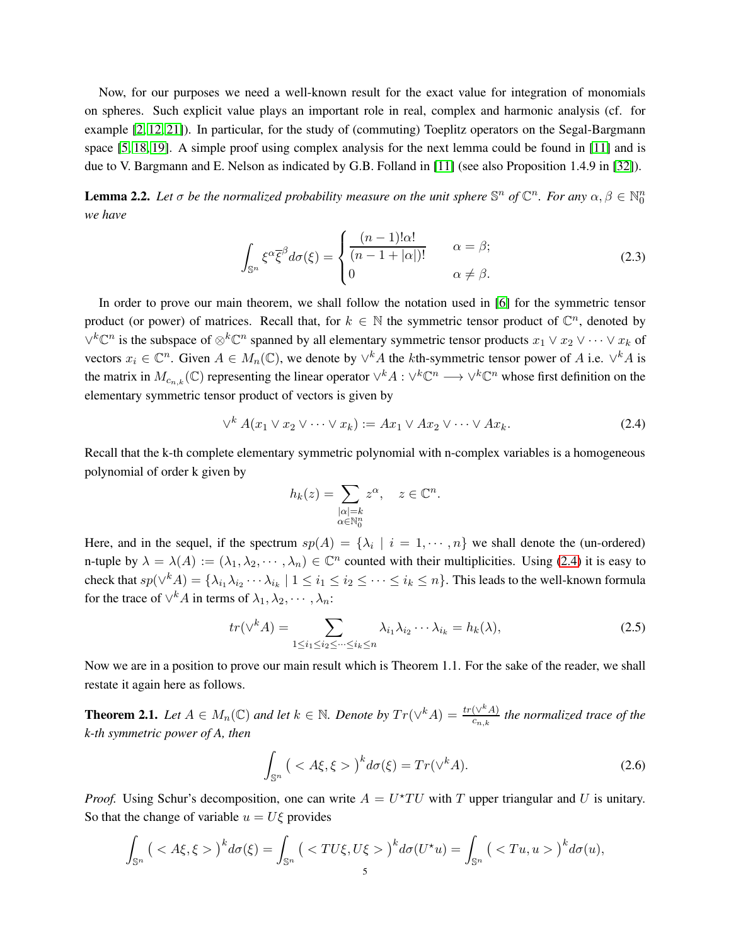Now, for our purposes we need a well-known result for the exact value for integration of monomials on spheres. Such explicit value plays an important role in real, complex and harmonic analysis (cf. for example [\[2,](#page-14-5) [12,](#page-14-6) [21\]](#page-15-5)). In particular, for the study of (commuting) Toeplitz operators on the Segal-Bargmann space [\[5,](#page-14-7) [18,](#page-14-8) [19\]](#page-14-9). A simple proof using complex analysis for the next lemma could be found in [\[11\]](#page-14-10) and is due to V. Bargmann and E. Nelson as indicated by G.B. Folland in [\[11\]](#page-14-10) (see also Proposition 1.4.9 in [\[32\]](#page-15-6)).

<span id="page-4-1"></span>**Lemma 2.2.** Let  $\sigma$  be the normalized probability measure on the unit sphere  $\mathbb{S}^n$  of  $\mathbb{C}^n$ . For any  $\alpha, \beta \in \mathbb{N}_0^n$ *we have*

<span id="page-4-4"></span>
$$
\int_{\mathbb{S}^n} \xi^{\alpha} \overline{\xi}^{\beta} d\sigma(\xi) = \begin{cases} \frac{(n-1)! \alpha!}{(n-1+|\alpha|)!} & \alpha = \beta; \\ 0 & \alpha \neq \beta. \end{cases}
$$
(2.3)

In order to prove our main theorem, we shall follow the notation used in [\[6\]](#page-14-11) for the symmetric tensor product (or power) of matrices. Recall that, for  $k \in \mathbb{N}$  the symmetric tensor product of  $\mathbb{C}^n$ , denoted by  $\vee^k \mathbb{C}^n$  is the subspace of  $\otimes^k \mathbb{C}^n$  spanned by all elementary symmetric tensor products  $x_1 \vee x_2 \vee \cdots \vee x_k$  of vectors  $x_i \in \mathbb{C}^n$ . Given  $A \in M_n(\mathbb{C})$ , we denote by  $\vee^k A$  the kth-symmetric tensor power of A i.e.  $\vee^k A$  is the matrix in  $M_{c_{n,k}}(\mathbb{C})$  representing the linear operator  $\vee^k A$  :  $\vee^k \mathbb{C}^n \longrightarrow \vee^k \mathbb{C}^n$  whose first definition on the elementary symmetric tensor product of vectors is given by

<span id="page-4-0"></span>
$$
\vee^k A(x_1 \vee x_2 \vee \cdots \vee x_k) := Ax_1 \vee Ax_2 \vee \cdots \vee Ax_k. \tag{2.4}
$$

Recall that the k-th complete elementary symmetric polynomial with n-complex variables is a homogeneous polynomial of order k given by

$$
h_k(z) = \sum_{\substack{|\alpha|=k \\ \alpha \in \mathbb{N}_0^n}} z^{\alpha}, \quad z \in \mathbb{C}^n.
$$

Here, and in the sequel, if the spectrum  $sp(A) = \{\lambda_i \mid i = 1, \dots, n\}$  we shall denote the (un-ordered) n-tuple by  $\lambda = \lambda(A) := (\lambda_1, \lambda_2, \dots, \lambda_n) \in \mathbb{C}^n$  counted with their multiplicities. Using [\(2.4\)](#page-4-0) it is easy to check that  $sp(\vee^k A) = \{\lambda_{i_1}\lambda_{i_2}\cdots\lambda_{i_k} \mid 1 \leq i_1 \leq i_2 \leq \cdots \leq i_k \leq n\}$ . This leads to the well-known formula for the trace of  $\vee^k A$  in terms of  $\lambda_1, \lambda_2, \cdots, \lambda_n$ :

<span id="page-4-5"></span>
$$
tr(\vee^k A) = \sum_{1 \le i_1 \le i_2 \le \dots \le i_k \le n} \lambda_{i_1} \lambda_{i_2} \dots \lambda_{i_k} = h_k(\lambda),
$$
\n(2.5)

Now we are in a position to prove our main result which is Theorem 1.1. For the sake of the reader, we shall restate it again here as follows.

<span id="page-4-3"></span>**Theorem 2.1.** Let  $A \in M_n(\mathbb{C})$  and let  $k \in \mathbb{N}$ . Denote by  $Tr(\vee^k A) = \frac{tr(\vee^k A)}{c_n k}$  $\frac{(\nabla^m A)}{c_{n,k}}$  the normalized trace of the *k-th symmetric power of A, then*

<span id="page-4-2"></span>
$$
\int_{\mathbb{S}^n} \left( \langle A\xi, \xi \rangle \right)^k d\sigma(\xi) = Tr(\vee^k A). \tag{2.6}
$$

*Proof.* Using Schur's decomposition, one can write  $A = U^*TU$  with T upper triangular and U is unitary. So that the change of variable  $u = U \xi$  provides

$$
\int_{\mathbb{S}^n} \left( \langle A\xi, \xi \rangle \right)^k d\sigma(\xi) = \int_{\mathbb{S}^n} \left( \langle TU\xi, U\xi \rangle \right)^k d\sigma(U^*u) = \int_{\mathbb{S}^n} \left( \langle Tu, u \rangle \right)^k d\sigma(u),
$$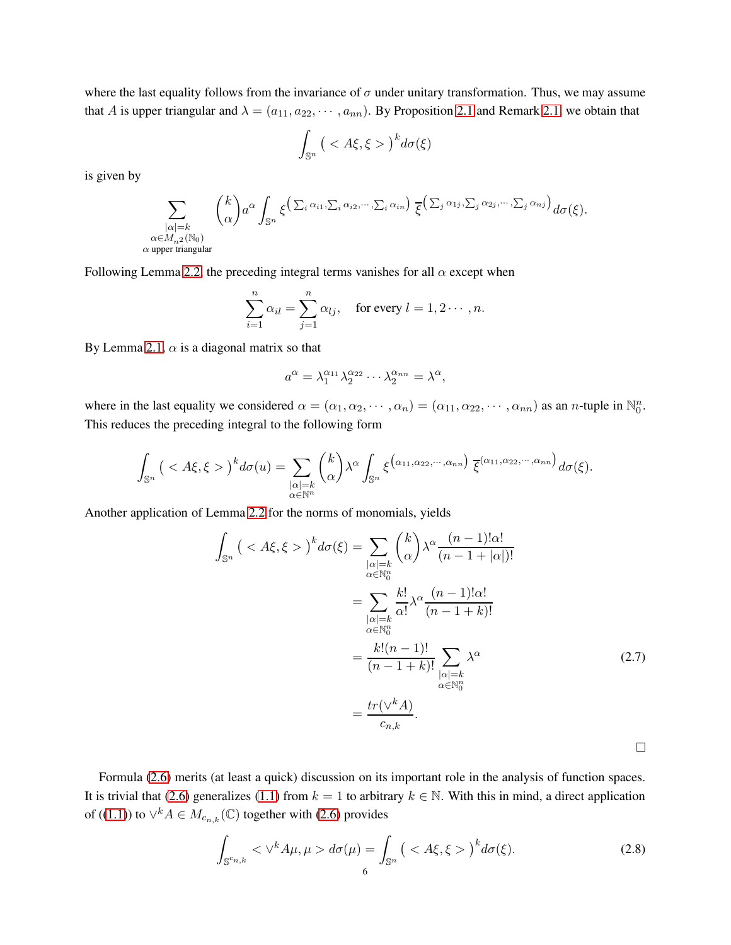where the last equality follows from the invariance of  $\sigma$  under unitary transformation. Thus, we may assume that A is upper triangular and  $\lambda = (a_{11}, a_{22}, \cdots, a_{nn})$ . By Proposition [2.1](#page-2-1) and Remark [2.1,](#page-3-1) we obtain that

$$
\int_{\mathbb{S}^n} \big( < A\xi, \xi > \big)^k d\sigma(\xi)
$$

is given by

$$
\sum_{\substack{|\alpha|=k\\ \alpha\in M_{n^2}(\mathbb{N}_0)\\ \alpha \text{ upper triangular}}} {k \choose \alpha} a^{\alpha} \int_{\mathbb{S}^n} \xi^{\left(\sum_i \alpha_{i1}, \sum_i \alpha_{i2}, \cdots, \sum_i \alpha_{in}\right)} \overline{\xi}^{\left(\sum_j \alpha_{1j}, \sum_j \alpha_{2j}, \cdots, \sum_j \alpha_{nj}\right)} d\sigma(\xi).
$$

Following Lemma [2.2,](#page-4-1) the preceding integral terms vanishes for all  $\alpha$  except when

$$
\sum_{i=1}^{n} \alpha_{il} = \sum_{j=1}^{n} \alpha_{lj}, \quad \text{for every } l = 1, 2 \cdots, n.
$$

By Lemma [2.1,](#page-3-2)  $\alpha$  is a diagonal matrix so that

$$
a^{\alpha} = \lambda_1^{\alpha_{11}} \lambda_2^{\alpha_{22}} \cdots \lambda_2^{\alpha_{nn}} = \lambda^{\alpha},
$$

where in the last equality we considered  $\alpha = (\alpha_1, \alpha_2, \cdots, \alpha_n) = (\alpha_{11}, \alpha_{22}, \cdots, \alpha_{nn})$  as an *n*-tuple in  $\mathbb{N}_0^n$ . This reduces the preceding integral to the following form

$$
\int_{\mathbb{S}^n} \left( \langle A\xi, \xi \rangle \right)^k d\sigma(u) = \sum_{\substack{|\alpha|=k \\ \alpha \in \mathbb{N}^n}} \binom{k}{\alpha} \lambda^{\alpha} \int_{\mathbb{S}^n} \xi^{\left(\alpha_{11}, \alpha_{22}, \cdots, \alpha_{nn}\right)} \overline{\xi}^{\left(\alpha_{11}, \alpha_{22}, \cdots, \alpha_{nn}\right)} d\sigma(\xi).
$$

Another application of Lemma [2.2](#page-4-1) for the norms of monomials, yields

<span id="page-5-1"></span>
$$
\int_{\mathbb{S}^n} \left( \langle A\xi, \xi \rangle \right)^k d\sigma(\xi) = \sum_{\substack{|\alpha| = k \\ \alpha \in \mathbb{N}_0^n}} \binom{k}{\alpha} \lambda^{\alpha} \frac{(n-1)! \alpha!}{(n-1+|\alpha|)!}
$$
\n
$$
= \sum_{\substack{|\alpha| = k \\ \alpha \in \mathbb{N}_0^n}} \frac{k!}{\alpha!} \lambda^{\alpha} \frac{(n-1)! \alpha!}{(n-1+k)!}
$$
\n
$$
= \frac{k!(n-1)!}{(n-1+k)!} \sum_{\substack{|\alpha| = k \\ \alpha \in \mathbb{N}_0^n}} \lambda^{\alpha} \tag{2.7}
$$
\n
$$
= \frac{tr(\vee^k A)}{c_{n,k}}.
$$

Formula [\(2.6\)](#page-4-2) merits (at least a quick) discussion on its important role in the analysis of function spaces. It is trivial that [\(2.6\)](#page-4-2) generalizes [\(1.1\)](#page-0-0) from  $k = 1$  to arbitrary  $k \in \mathbb{N}$ . With this in mind, a direct application of ([\(1.1\)](#page-0-0)) to  $\vee^k A \in M_{c_{n,k}}(\mathbb{C})$  together with [\(2.6\)](#page-4-2) provides

<span id="page-5-0"></span>
$$
\int_{\mathbb{S}^{c_{n,k}}} \langle \mathcal{V}^k A \mu, \mu \rangle d\sigma(\mu) = \int_{\mathbb{S}^n} \left( \langle A\xi, \xi \rangle \right)^k d\sigma(\xi). \tag{2.8}
$$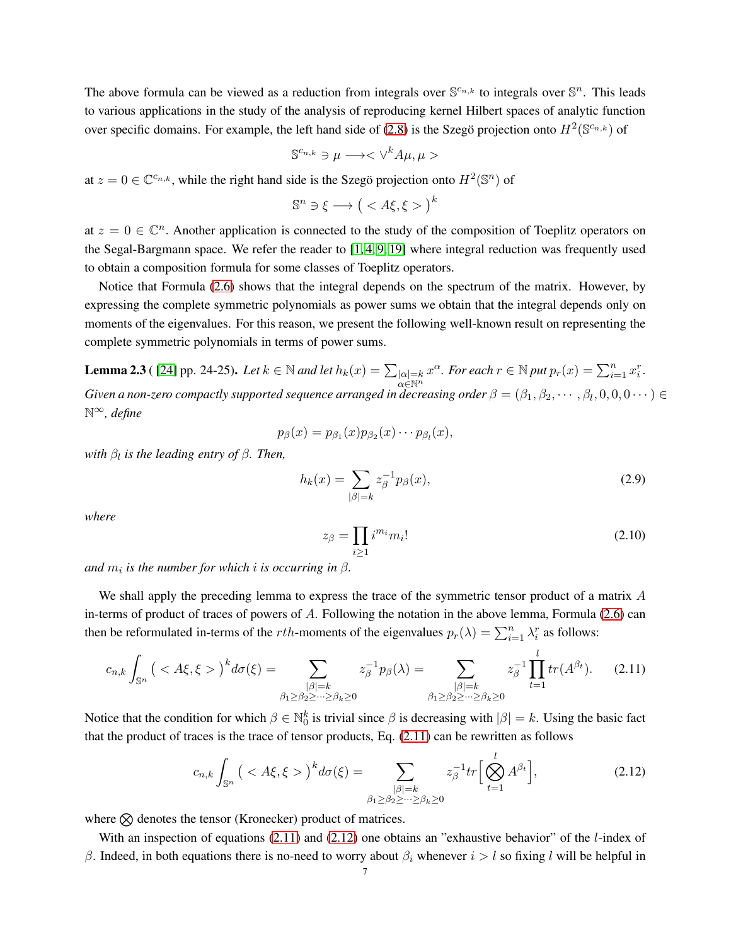The above formula can be viewed as a reduction from integrals over  $\mathbb{S}^{c_{n,k}}$  to integrals over  $\mathbb{S}^n$ . This leads to various applications in the study of the analysis of reproducing kernel Hilbert spaces of analytic function over specific domains. For example, the left hand side of [\(2.8\)](#page-5-0) is the Szegö projection onto  $H^2(\mathbb{S}^{c_{n,k}})$  of

$$
\mathbb{S}^{c_{n,k}} \ni \mu \longrightarrow \langle \vee^k A \mu, \mu \rangle
$$

at  $z = 0 \in \mathbb{C}^{c_{n,k}}$ , while the right hand side is the Szegö projection onto  $H^2(\mathbb{S}^n)$  of

$$
\mathbb{S}^n \ni \xi \longrightarrow \big( < A\xi, \xi > \big)^k
$$

at  $z = 0 \in \mathbb{C}^n$ . Another application is connected to the study of the composition of Toeplitz operators on the Segal-Bargmann space. We refer the reader to [\[1,](#page-14-12) [4,](#page-14-13) [9,](#page-14-14) [19\]](#page-14-9) where integral reduction was frequently used to obtain a composition formula for some classes of Toeplitz operators.

Notice that Formula [\(2.6\)](#page-4-2) shows that the integral depends on the spectrum of the matrix. However, by expressing the complete symmetric polynomials as power sums we obtain that the integral depends only on moments of the eigenvalues. For this reason, we present the following well-known result on representing the complete symmetric polynomials in terms of power sums.

**Lemma 2.3** ( [\[24\]](#page-15-7) pp. 24-25). Let  $k \in \mathbb{N}$  and let  $h_k(x) = \sum_{|\alpha|=k} x^{\alpha}$ . For each  $r \in \mathbb{N}$  put  $p_r(x) = \sum_{i=1}^n x_i^r$ . Given a non-zero compactly supported sequence arranged in decreasing order  $\beta=(\beta_1,\beta_2,\cdots,\beta_l,0,0,0\cdots)\in$ N∞*, define*

$$
p_{\beta}(x)=p_{\beta_1}(x)p_{\beta_2}(x)\cdots p_{\beta_l}(x),
$$

*with*  $β$ <sub>*l</sub> is the leading entry of*  $β$ *. Then,*</sub>

$$
h_k(x) = \sum_{|\beta|=k} z_{\beta}^{-1} p_{\beta}(x),
$$
\n(2.9)

*where*

$$
z_{\beta} = \prod_{i \ge 1} i^{m_i} m_i! \tag{2.10}
$$

 $and$   $m_i$  *is the number for which*  $i$  *is occurring in*  $\beta$ *.* 

We shall apply the preceding lemma to express the trace of the symmetric tensor product of a matrix A in-terms of product of traces of powers of A. Following the notation in the above lemma, Formula [\(2.6\)](#page-4-2) can then be reformulated in-terms of the *rth*-moments of the eigenvalues  $p_r(\lambda) = \sum_{i=1}^n \lambda_i^r$  as follows:

<span id="page-6-0"></span>
$$
c_{n,k} \int_{\mathbb{S}^n} \left( \langle A\xi, \xi \rangle \right)^k d\sigma(\xi) = \sum_{\substack{|\beta|=k \\ \beta_1 \ge \beta_2 \ge \dots \ge \beta_k \ge 0}} z_{\beta}^{-1} p_{\beta}(\lambda) = \sum_{\substack{|\beta|=k \\ \beta_1 \ge \beta_2 \ge \dots \ge \beta_k \ge 0}} z_{\beta}^{-1} \prod_{t=1}^l tr(A^{\beta_t}). \tag{2.11}
$$

Notice that the condition for which  $\beta \in \mathbb{N}_0^k$  is trivial since  $\beta$  is decreasing with  $|\beta| = k$ . Using the basic fact that the product of traces is the trace of tensor products, Eq.  $(2.11)$  can be rewritten as follows

<span id="page-6-1"></span>
$$
c_{n,k}\int_{\mathbb{S}^n} \left( \langle A\xi, \xi \rangle \right)^k d\sigma(\xi) = \sum_{\substack{|\beta|=k\\ \beta_1 \ge \beta_2 \ge \dots \ge \beta_k \ge 0}} z_{\beta}^{-1} tr \left[ \bigotimes_{t=1}^l A^{\beta_t} \right],\tag{2.12}
$$

where  $\otimes$  denotes the tensor (Kronecker) product of matrices.

With an inspection of equations  $(2.11)$  and  $(2.12)$  one obtains an "exhaustive behavior" of the *l*-index of β. Indeed, in both equations there is no-need to worry about  $β<sub>i</sub>$  whenever  $i > l$  so fixing l will be helpful in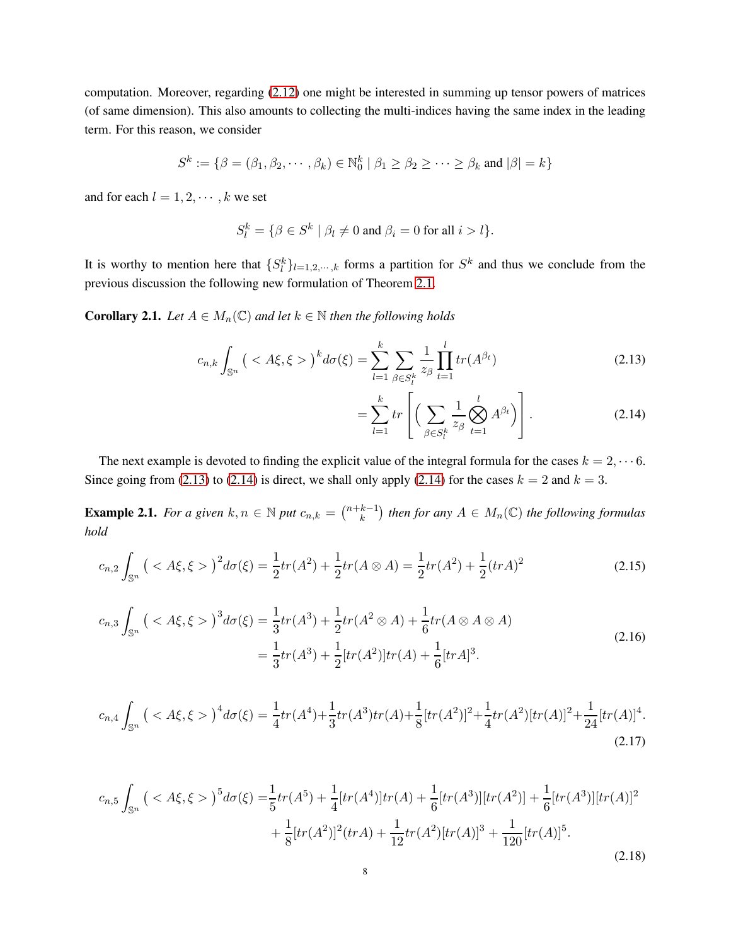computation. Moreover, regarding [\(2.12\)](#page-6-1) one might be interested in summing up tensor powers of matrices (of same dimension). This also amounts to collecting the multi-indices having the same index in the leading term. For this reason, we consider

$$
S^k := \{ \beta = (\beta_1, \beta_2, \cdots, \beta_k) \in \mathbb{N}_0^k \mid \beta_1 \ge \beta_2 \ge \cdots \ge \beta_k \text{ and } |\beta| = k \}
$$

and for each  $l = 1, 2, \dots, k$  we set

$$
S_l^k = \{ \beta \in S^k \mid \beta_l \neq 0 \text{ and } \beta_i = 0 \text{ for all } i > l \}.
$$

It is worthy to mention here that  $\{S_l^k\}_{l=1,2,\dots,k}$  forms a partition for  $S^k$  and thus we conclude from the previous discussion the following new formulation of Theorem [2.1.](#page-4-3)

**Corollary 2.1.** *Let*  $A \in M_n(\mathbb{C})$  *and let*  $k \in \mathbb{N}$  *then the following holds* 

$$
c_{n,k} \int_{\mathbb{S}^n} \left( \langle A\xi, \xi \rangle \right)^k d\sigma(\xi) = \sum_{l=1}^k \sum_{\beta \in S_l^k} \frac{1}{z_{\beta}} \prod_{t=1}^l tr(A^{\beta_t}) \tag{2.13}
$$

<span id="page-7-1"></span><span id="page-7-0"></span>
$$
= \sum_{l=1}^{k} tr \left[ \left( \sum_{\beta \in S_{l}^{k}} \frac{1}{z_{\beta}} \bigotimes_{t=1}^{l} A^{\beta_{t}} \right) \right]. \tag{2.14}
$$

The next example is devoted to finding the explicit value of the integral formula for the cases  $k = 2, \dots 6$ . Since going from [\(2.13\)](#page-7-0) to [\(2.14\)](#page-7-1) is direct, we shall only apply [\(2.14\)](#page-7-1) for the cases  $k = 2$  and  $k = 3$ .

**Example 2.1.** For a given  $k, n \in \mathbb{N}$  put  $c_{n,k} = \binom{n+k-1}{k}$  ${k-1 \choose k}$  then for any  $A \in M_n(\mathbb{C})$  the following formulas *hold*

$$
c_{n,2} \int_{\mathbb{S}^n} \left( \langle A\xi, \xi \rangle \right)^2 d\sigma(\xi) = \frac{1}{2} tr(A^2) + \frac{1}{2} tr(A \otimes A) = \frac{1}{2} tr(A^2) + \frac{1}{2} (trA)^2 \tag{2.15}
$$

$$
c_{n,3} \int_{\mathbb{S}^n} \left( \langle A\xi, \xi \rangle \right)^3 d\sigma(\xi) = \frac{1}{3} tr(A^3) + \frac{1}{2} tr(A^2 \otimes A) + \frac{1}{6} tr(A \otimes A \otimes A)
$$
  
= 
$$
\frac{1}{3} tr(A^3) + \frac{1}{2} [tr(A^2)] tr(A) + \frac{1}{6} [trA]^3.
$$
 (2.16)

$$
c_{n,4} \int_{\mathbb{S}^n} \left( \langle A\xi, \xi \rangle \right)^4 d\sigma(\xi) = \frac{1}{4} tr(A^4) + \frac{1}{3} tr(A^3) tr(A) + \frac{1}{8} [tr(A^2)]^2 + \frac{1}{4} tr(A^2) [tr(A)]^2 + \frac{1}{24} [tr(A)]^4.
$$
\n(2.17)

$$
c_{n,5} \int_{\mathbb{S}^n} \left( \langle A\xi, \xi \rangle \right)^5 d\sigma(\xi) = \frac{1}{5} tr(A^5) + \frac{1}{4} [tr(A^4)] tr(A) + \frac{1}{6} [tr(A^3)] [tr(A^2)] + \frac{1}{6} [tr(A^3)] [tr(A)]^2 + \frac{1}{8} [tr(A^2)]^2 (trA) + \frac{1}{12} tr(A^2) [tr(A)]^3 + \frac{1}{120} [tr(A)]^5.
$$
\n(2.18)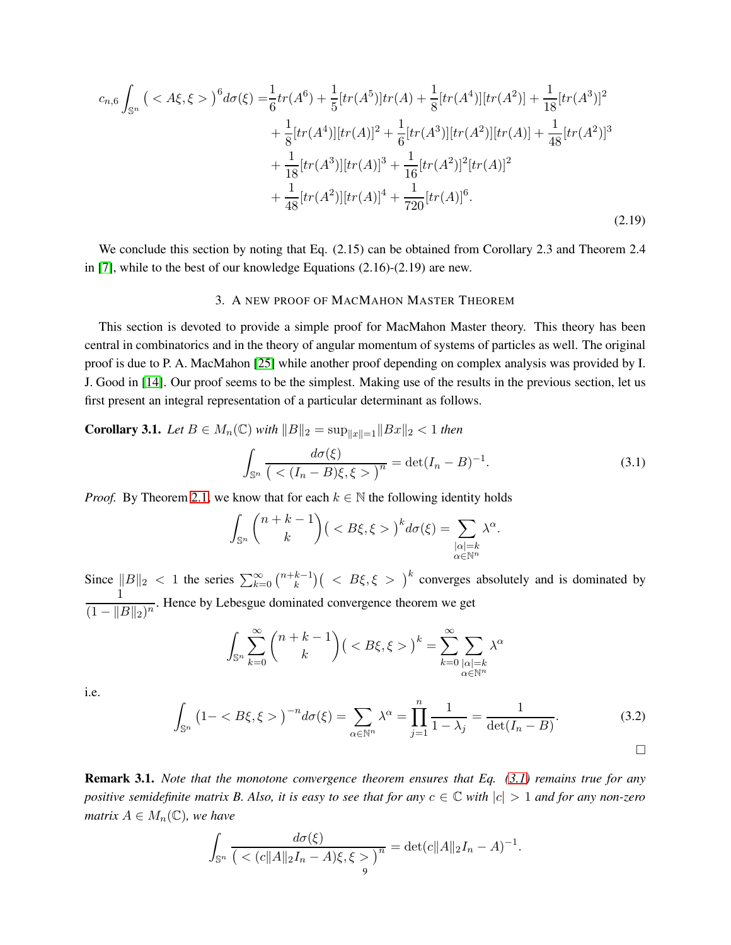$$
c_{n,6} \int_{\mathbb{S}^n} \left( \langle A\xi, \xi \rangle \right)^6 d\sigma(\xi) = \frac{1}{6} tr(A^6) + \frac{1}{5} [tr(A^5)] tr(A) + \frac{1}{8} [tr(A^4)] [tr(A^2)] + \frac{1}{18} [tr(A^3)]^2
$$
  
+ 
$$
\frac{1}{8} [tr(A^4)] [tr(A)]^2 + \frac{1}{6} [tr(A^3)] [tr(A^2)] [tr(A)] + \frac{1}{48} [tr(A^2)]^3
$$
  
+ 
$$
\frac{1}{18} [tr(A^3)] [tr(A)]^3 + \frac{1}{16} [tr(A^2)]^2 [tr(A)]^2
$$
  
+ 
$$
\frac{1}{48} [tr(A^2)] [tr(A)]^4 + \frac{1}{720} [tr(A)]^6.
$$
 (2.19)

We conclude this section by noting that Eq. (2.15) can be obtained from Corollary 2.3 and Theorem 2.4 in [\[7\]](#page-14-1), while to the best of our knowledge Equations (2.16)-(2.19) are new.

## 3. A NEW PROOF OF MACMAHON MASTER THEOREM

This section is devoted to provide a simple proof for MacMahon Master theory. This theory has been central in combinatorics and in the theory of angular momentum of systems of particles as well. The original proof is due to P. A. MacMahon [\[25\]](#page-15-8) while another proof depending on complex analysis was provided by I. J. Good in [\[14\]](#page-14-15). Our proof seems to be the simplest. Making use of the results in the previous section, let us first present an integral representation of a particular determinant as follows.

**Corollary 3.1.** *Let*  $B \in M_n(\mathbb{C})$  *with*  $||B||_2 = \sup_{||x||=1} ||Bx||_2 < 1$  *then* 

<span id="page-8-0"></span>
$$
\int_{\mathbb{S}^n} \frac{d\sigma(\xi)}{(\langle (I_n - B)\xi, \xi \rangle)^n} = \det(I_n - B)^{-1}.
$$
\n(3.1)

*Proof.* By Theorem [2.1,](#page-4-3) we know that for each  $k \in \mathbb{N}$  the following identity holds

$$
\int_{\mathbb{S}^n} \binom{n+k-1}{k} \big( < B\xi, \xi > \big)^k d\sigma(\xi) = \sum_{\substack{|\alpha|=k \\ \alpha \in \mathbb{N}^n}} \lambda^{\alpha}.
$$

Since  $||B||_2 < 1$  the series  $\sum_{k=0}^{\infty} {\binom{n+k-1}{k}}$  ${k-1 \choose k}$   $\Big( \Big\langle B\xi, \xi \Big\rangle \Big)^k$  converges absolutely and is dominated by 1  $\frac{1}{(1 - ||B||_2)^n}$ . Hence by Lebesgue dominated convergence theorem we get

$$
\int_{\mathbb{S}^n} \sum_{k=0}^{\infty} {n+k-1 \choose k} \left( < B\xi, \xi > \right)^k = \sum_{k=0}^{\infty} \sum_{\substack{|\alpha|=k \\ \alpha \in \mathbb{N}^n}} \lambda^{\alpha}
$$

i.e.

<span id="page-8-1"></span>
$$
\int_{\mathbb{S}^n} (1 - \langle B\xi, \xi \rangle)^{-n} d\sigma(\xi) = \sum_{\alpha \in \mathbb{N}^n} \lambda^{\alpha} = \prod_{j=1}^n \frac{1}{1 - \lambda_j} = \frac{1}{\det(I_n - B)}.
$$
\n(3.2)

Remark 3.1. *Note that the monotone convergence theorem ensures that Eq. [\(3.1\)](#page-8-0) remains true for any positive semidefinite matrix B. Also, it is easy to see that for any*  $c \in \mathbb{C}$  *with*  $|c| > 1$  *and for any non-zero matrix*  $A \in M_n(\mathbb{C})$ *, we have* 

$$
\int_{\mathbb{S}^n} \frac{d\sigma(\xi)}{(\langle c||A||_2 I_n - A)\xi, \xi \rangle^n} = \det(c||A||_2 I_n - A)^{-1}.
$$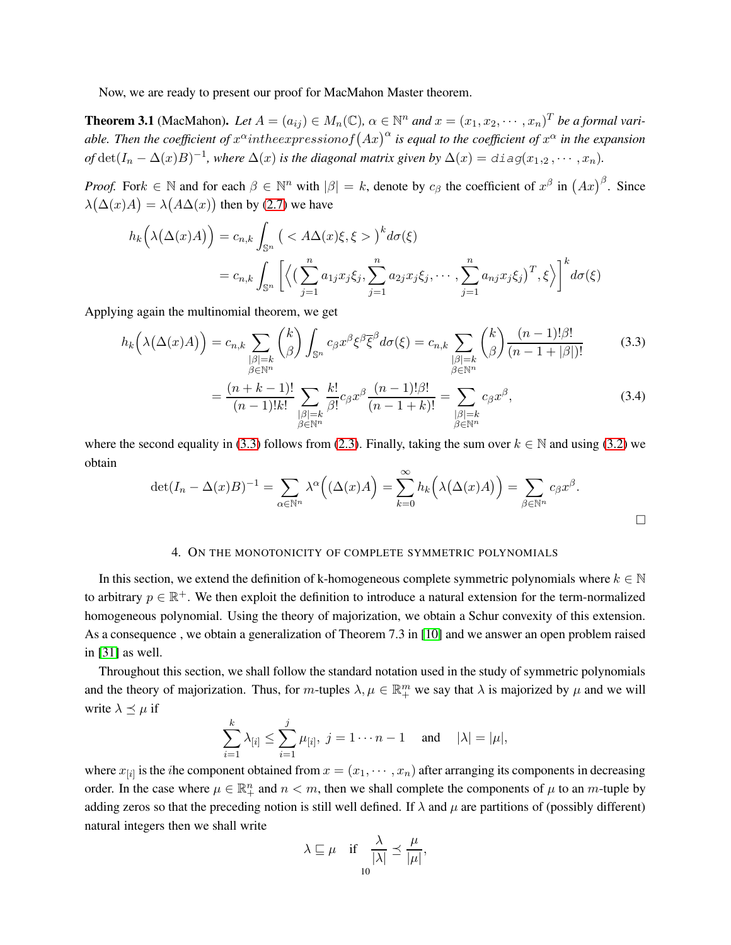Now, we are ready to present our proof for MacMahon Master theorem.

**Theorem 3.1** (MacMahon). Let  $A = (a_{ij}) \in M_n(\mathbb{C})$ ,  $\alpha \in \mathbb{N}^n$  and  $x = (x_1, x_2, \dots, x_n)^T$  be a formal variable. Then the coefficient of  $x^{\alpha}$  intheexpressionof  $\left( Ax\right) ^{\alpha}$  is equal to the coefficient of  $x^{\alpha}$  in the expansion of  $\det(I_n - \Delta(x)B)^{-1}$ , where  $\Delta(x)$  is the diagonal matrix given by  $\Delta(x) = \text{diag}(x_1, 2, \dots, x_n)$ .

*Proof.* For  $k \in \mathbb{N}$  and for each  $\beta \in \mathbb{N}^n$  with  $|\beta| = k$ , denote by  $c_{\beta}$  the coefficient of  $x^{\beta}$  in  $(Ax)^{\beta}$ . Since  $\lambda(\Delta(x)A) = \lambda(A\Delta(x))$  then by [\(2.7\)](#page-5-1) we have

$$
h_k(\lambda(\Delta(x)A)) = c_{n,k} \int_{\mathbb{S}^n} \left( \langle A\Delta(x)\xi, \xi \rangle \right)^k d\sigma(\xi)
$$
  
=  $c_{n,k} \int_{\mathbb{S}^n} \left[ \left\langle \left( \sum_{j=1}^n a_{1j} x_j \xi_j, \sum_{j=1}^n a_{2j} x_j \xi_j, \cdots, \sum_{j=1}^n a_{nj} x_j \xi_j \right)^T, \xi \right\rangle \right]^k d\sigma(\xi)$ 

Applying again the multinomial theorem, we get

$$
h_k\left(\lambda(\Delta(x)A)\right) = c_{n,k} \sum_{\substack{|\beta|=k\\ \beta \in \mathbb{N}^n}} \binom{k}{\beta} \int_{\mathbb{S}^n} c_{\beta} x^{\beta} \xi^{\beta} \overline{\xi}^{\beta} d\sigma(\xi) = c_{n,k} \sum_{\substack{|\beta|=k\\ \beta \in \mathbb{N}^n}} \binom{k}{\beta} \frac{(n-1)! \beta!}{(n-1+|\beta|)!} \tag{3.3}
$$

<span id="page-9-0"></span>
$$
= \frac{(n+k-1)!}{(n-1)!k!} \sum_{\substack{|\beta|=k\\ \beta \in \mathbb{N}^n}} \frac{k!}{\beta!} c_{\beta} x^{\beta} \frac{(n-1)! \beta!}{(n-1+k)!} = \sum_{\substack{|\beta|=k\\ \beta \in \mathbb{N}^n}} c_{\beta} x^{\beta},
$$
(3.4)

where the second equality in [\(3.3\)](#page-9-0) follows from [\(2.3\)](#page-4-4). Finally, taking the sum over  $k \in \mathbb{N}$  and using [\(3.2\)](#page-8-1) we obtain

$$
\det(I_n - \Delta(x)B)^{-1} = \sum_{\alpha \in \mathbb{N}^n} \lambda^{\alpha} ((\Delta(x)A)) = \sum_{k=0}^{\infty} h_k (\lambda(\Delta(x)A)) = \sum_{\beta \in \mathbb{N}^n} c_{\beta} x^{\beta}.
$$

## 4. ON THE MONOTONICITY OF COMPLETE SYMMETRIC POLYNOMIALS

In this section, we extend the definition of k-homogeneous complete symmetric polynomials where  $k \in \mathbb{N}$ to arbitrary  $p \in \mathbb{R}^+$ . We then exploit the definition to introduce a natural extension for the term-normalized homogeneous polynomial. Using the theory of majorization, we obtain a Schur convexity of this extension. As a consequence , we obtain a generalization of Theorem 7.3 in [\[10\]](#page-14-0) and we answer an open problem raised in [\[31\]](#page-15-0) as well.

Throughout this section, we shall follow the standard notation used in the study of symmetric polynomials and the theory of majorization. Thus, for m-tuples  $\lambda, \mu \in \mathbb{R}^m_+$  we say that  $\lambda$  is majorized by  $\mu$  and we will write  $\lambda \preceq \mu$  if

$$
\sum_{i=1}^k \lambda_{[i]} \leq \sum_{i=1}^j \mu_{[i]}, \ j=1\cdots n-1 \quad \text{and} \quad |\lambda|=|\mu|,
$$

where  $x_{[i]}$  is the *i*he component obtained from  $x = (x_1, \dots, x_n)$  after arranging its components in decreasing order. In the case where  $\mu \in \mathbb{R}_+^n$  and  $n < m$ , then we shall complete the components of  $\mu$  to an m-tuple by adding zeros so that the preceding notion is still well defined. If  $\lambda$  and  $\mu$  are partitions of (possibly different) natural integers then we shall write

$$
\lambda \sqsubseteq \mu \quad \text{if } \frac{\lambda}{|\lambda|} \preceq \frac{\mu}{|\mu|},
$$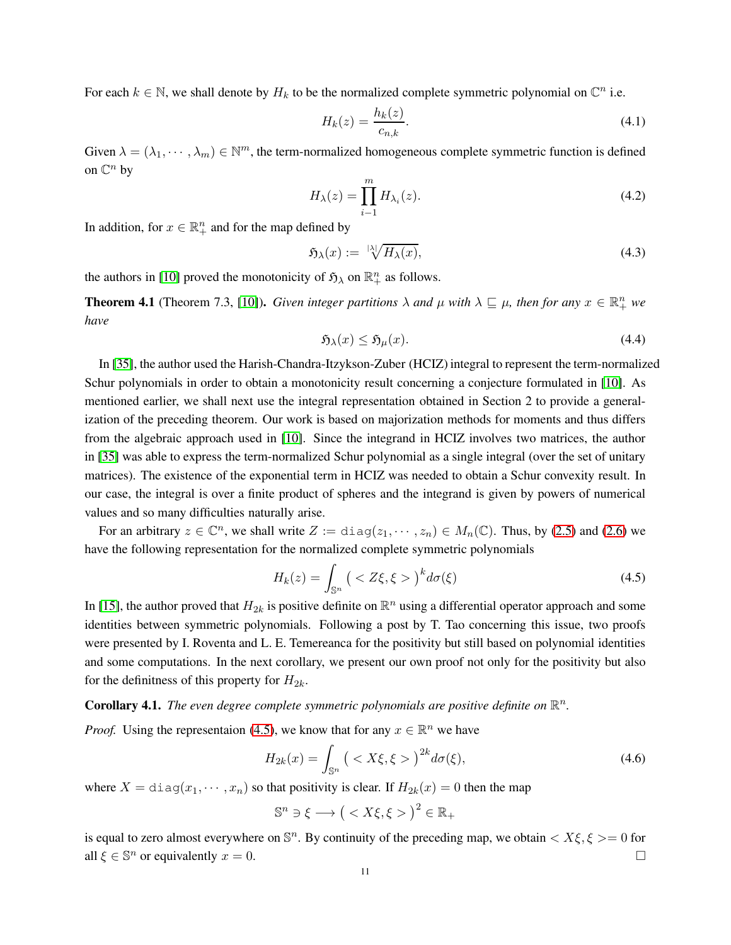For each  $k \in \mathbb{N}$ , we shall denote by  $H_k$  to be the normalized complete symmetric polynomial on  $\mathbb{C}^n$  i.e.

$$
H_k(z) = \frac{h_k(z)}{c_{n,k}}.\tag{4.1}
$$

Given  $\lambda = (\lambda_1, \dots, \lambda_m) \in \mathbb{N}^m$ , the term-normalized homogeneous complete symmetric function is defined on  $\mathbb{C}^n$  by

$$
H_{\lambda}(z) = \prod_{i=1}^{m} H_{\lambda_i}(z). \tag{4.2}
$$

In addition, for  $x \in \mathbb{R}^n_+$  and for the map defined by

<span id="page-10-1"></span>
$$
\mathfrak{H}_{\lambda}(x) := \sqrt[1\lambda]{H_{\lambda}(x)},\tag{4.3}
$$

the authors in [\[10\]](#page-14-0) proved the monotonicity of  $\mathfrak{H}_{\lambda}$  on  $\mathbb{R}^n_+$  as follows.

**Theorem 4.1** (Theorem 7.3, [\[10\]](#page-14-0)). *Given integer partitions*  $\lambda$  *and*  $\mu$  *with*  $\lambda \sqsubseteq \mu$ *, then for any*  $x \in \mathbb{R}^n_+$  *we have*

$$
\mathfrak{H}_{\lambda}(x) \leq \mathfrak{H}_{\mu}(x). \tag{4.4}
$$

In [\[35\]](#page-15-3), the author used the Harish-Chandra-Itzykson-Zuber (HCIZ) integral to represent the term-normalized Schur polynomials in order to obtain a monotonicity result concerning a conjecture formulated in [\[10\]](#page-14-0). As mentioned earlier, we shall next use the integral representation obtained in Section 2 to provide a generalization of the preceding theorem. Our work is based on majorization methods for moments and thus differs from the algebraic approach used in [\[10\]](#page-14-0). Since the integrand in HCIZ involves two matrices, the author in [\[35\]](#page-15-3) was able to express the term-normalized Schur polynomial as a single integral (over the set of unitary matrices). The existence of the exponential term in HCIZ was needed to obtain a Schur convexity result. In our case, the integral is over a finite product of spheres and the integrand is given by powers of numerical values and so many difficulties naturally arise.

For an arbitrary  $z \in \mathbb{C}^n$ , we shall write  $Z := \text{diag}(z_1, \dots, z_n) \in M_n(\mathbb{C})$ . Thus, by [\(2.5\)](#page-4-5) and [\(2.6\)](#page-4-2) we have the following representation for the normalized complete symmetric polynomials

<span id="page-10-0"></span>
$$
H_k(z) = \int_{\mathbb{S}^n} \left( \langle Z\xi, \xi \rangle \right)^k d\sigma(\xi) \tag{4.5}
$$

In [\[15\]](#page-14-2), the author proved that  $H_{2k}$  is positive definite on  $\mathbb{R}^n$  using a differential operator approach and some identities between symmetric polynomials. Following a post by T. Tao concerning this issue, two proofs were presented by I. Roventa and L. E. Temereanca for the positivity but still based on polynomial identities and some computations. In the next corollary, we present our own proof not only for the positivity but also for the definitness of this property for  $H_{2k}$ .

# **Corollary 4.1.** The even degree complete symmetric polynomials are positive definite on  $\mathbb{R}^n$ .

*Proof.* Using the representaion [\(4.5\)](#page-10-0), we know that for any  $x \in \mathbb{R}^n$  we have

<span id="page-10-2"></span>
$$
H_{2k}(x) = \int_{\mathbb{S}^n} \left( \langle X\xi, \xi \rangle \right)^{2k} d\sigma(\xi), \tag{4.6}
$$

where  $X = \text{diag}(x_1, \dots, x_n)$  so that positivity is clear. If  $H_{2k}(x) = 0$  then the map

$$
\mathbb{S}^n \ni \xi \longrightarrow \big( < X\xi, \xi > \big)^2 \in \mathbb{R}_+
$$

is equal to zero almost everywhere on  $\mathbb{S}^n$ . By continuity of the preceding map, we obtain  $\langle X\xi, \xi \rangle = 0$  for all  $\xi \in \mathbb{S}^n$  or equivalently  $x = 0$ .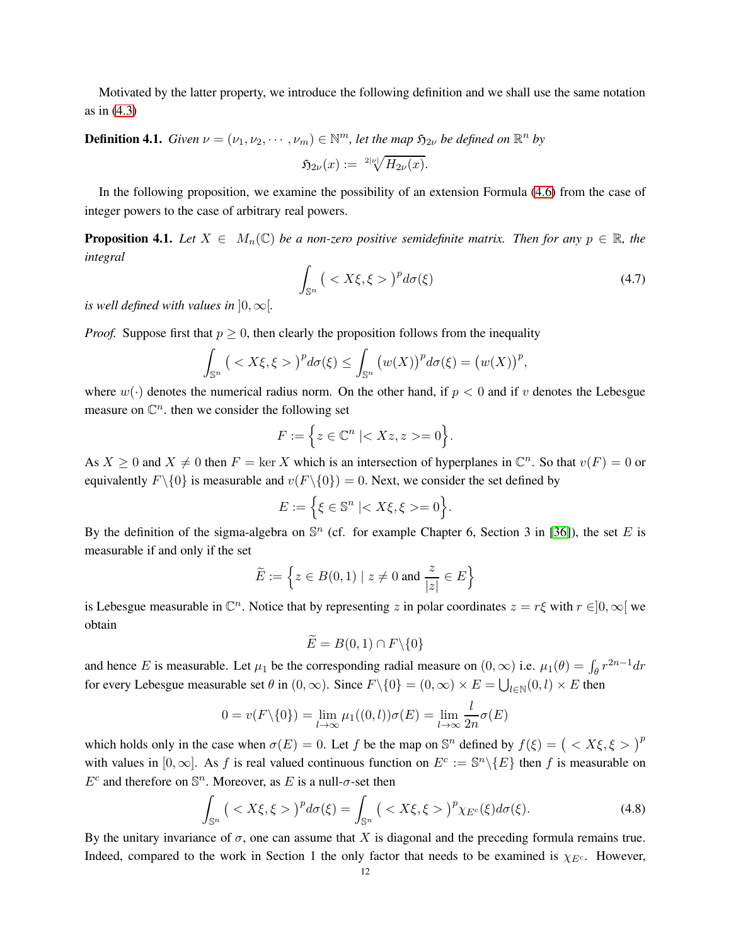Motivated by the latter property, we introduce the following definition and we shall use the same notation as in [\(4.3\)](#page-10-1)

# **Definition 4.1.** *Given*  $\nu = (\nu_1, \nu_2, \cdots, \nu_m) \in \mathbb{N}^m$ , let the map  $\mathfrak{H}_{2\nu}$  be defined on  $\mathbb{R}^n$  by

$$
\mathfrak{H}_{2\nu}(x):=\sqrt[2|\nu|]{H_{2\nu}(x)}.
$$

In the following proposition, we examine the possibility of an extension Formula [\(4.6\)](#page-10-2) from the case of integer powers to the case of arbitrary real powers.

**Proposition 4.1.** *Let*  $X \in M_n(\mathbb{C})$  *be a non-zero positive semidefinite matrix. Then for any*  $p \in \mathbb{R}$ *, the integral*

$$
\int_{\mathbb{S}^n} \left( \langle X\xi, \xi \rangle \right)^p d\sigma(\xi) \tag{4.7}
$$

*is well defined with values in*  $]0,\infty[$ *.* 

*Proof.* Suppose first that  $p > 0$ , then clearly the proposition follows from the inequality

$$
\int_{\mathbb{S}^n} \left( \langle X\xi, \xi \rangle \right)^p d\sigma(\xi) \leq \int_{\mathbb{S}^n} \left( w(X) \right)^p d\sigma(\xi) = \left( w(X) \right)^p,
$$

where  $w(\cdot)$  denotes the numerical radius norm. On the other hand, if  $p < 0$  and if v denotes the Lebesgue measure on  $\mathbb{C}^n$ . then we consider the following set

$$
F := \Big\{ z \in \mathbb{C}^n \mid =0 \Big\}.
$$

As  $X \ge 0$  and  $X \ne 0$  then  $F = \ker X$  which is an intersection of hyperplanes in  $\mathbb{C}^n$ . So that  $v(F) = 0$  or equivalently  $F\setminus\{0\}$  is measurable and  $v(F\setminus\{0\}) = 0$ . Next, we consider the set defined by

$$
E := \Big\{ \xi \in \mathbb{S}^n \mid < X\xi, \xi \geq 0 \Big\}.
$$

By the definition of the sigma-algebra on  $\mathbb{S}^n$  (cf. for example Chapter 6, Section 3 in [\[36\]](#page-15-9)), the set E is measurable if and only if the set

$$
\widetilde{E} := \left\{ z \in B(0,1) \mid z \neq 0 \text{ and } \frac{z}{|z|} \in E \right\}
$$

is Lebesgue measurable in  $\mathbb{C}^n$ . Notice that by representing z in polar coordinates  $z = r\xi$  with  $r \in ]0,\infty[$  we obtain

$$
\widetilde{E} = B(0,1) \cap F \backslash \{0\}
$$

and hence E is measurable. Let  $\mu_1$  be the corresponding radial measure on  $(0, \infty)$  i.e.  $\mu_1(\theta) = \int_{\theta} r^{2n-1} dr$ for every Lebesgue measurable set  $\theta$  in  $(0, \infty)$ . Since  $F \setminus \{0\} = (0, \infty) \times E = \bigcup_{l \in \mathbb{N}} (0, l) \times E$  then

$$
0 = v(F \setminus \{0\}) = \lim_{l \to \infty} \mu_1((0, l)) \sigma(E) = \lim_{l \to \infty} \frac{l}{2n} \sigma(E)
$$

which holds only in the case when  $\sigma(E) = 0$ . Let f be the map on  $\mathbb{S}^n$  defined by  $f(\xi) = ( \langle X \xi, \xi \rangle)^p$ with values in [0,  $\infty$ ]. As f is real valued continuous function on  $E^c := \mathbb{S}^n \backslash \{E\}$  then f is measurable on  $E^c$  and therefore on  $\mathbb{S}^n$ . Moreover, as E is a null- $\sigma$ -set then

<span id="page-11-0"></span>
$$
\int_{\mathbb{S}^n} \left( \langle X\xi, \xi \rangle \right)^p d\sigma(\xi) = \int_{\mathbb{S}^n} \left( \langle X\xi, \xi \rangle \right)^p \chi_{E^c}(\xi) d\sigma(\xi). \tag{4.8}
$$

By the unitary invariance of  $\sigma$ , one can assume that X is diagonal and the preceding formula remains true. Indeed, compared to the work in Section 1 the only factor that needs to be examined is  $\chi_{E^c}$ . However,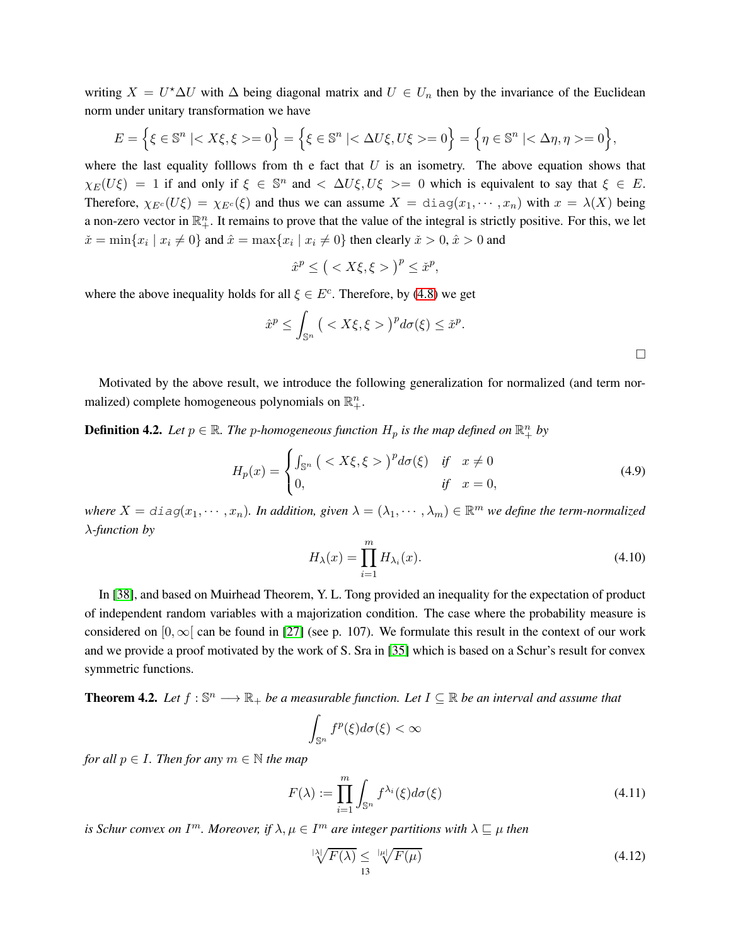writing  $X = U^* \Delta U$  with  $\Delta$  being diagonal matrix and  $U \in U_n$  then by the invariance of the Euclidean norm under unitary transformation we have

$$
E = \left\{ \xi \in \mathbb{S}^n \mid \langle X\xi, \xi \rangle = 0 \right\} = \left\{ \xi \in \mathbb{S}^n \mid \langle \Delta U\xi, U\xi \rangle = 0 \right\} = \left\{ \eta \in \mathbb{S}^n \mid \langle \Delta \eta, \eta \rangle = 0 \right\},\
$$

where the last equality folllows from the fact that  $U$  is an isometry. The above equation shows that  $\chi_E(U\xi) = 1$  if and only if  $\xi \in \mathbb{S}^n$  and  $\langle \Delta U \xi, U \xi \rangle = 0$  which is equivalent to say that  $\xi \in E$ . Therefore,  $\chi_{E^c}(U\xi) = \chi_{E^c}(\xi)$  and thus we can assume  $X = \text{diag}(x_1, \dots, x_n)$  with  $x = \lambda(X)$  being a non-zero vector in  $\mathbb{R}^n_+$ . It remains to prove that the value of the integral is strictly positive. For this, we let  $\tilde{x} = \min\{x_i \mid x_i \neq 0\}$  and  $\hat{x} = \max\{x_i \mid x_i \neq 0\}$  then clearly  $\tilde{x} > 0$ ,  $\hat{x} > 0$  and

$$
\hat{x}^p \le \big( < X\xi, \xi > \big)^p \le \check{x}^p,
$$

where the above inequality holds for all  $\xi \in E^c$ . Therefore, by [\(4.8\)](#page-11-0) we get

$$
\hat{x}^p \le \int_{\mathbb{S}^n} \left( \langle X\xi, \xi \rangle \right)^p d\sigma(\xi) \le \check{x}^p.
$$

Motivated by the above result, we introduce the following generalization for normalized (and term normalized) complete homogeneous polynomials on  $\mathbb{R}^n_+$ .

**Definition 4.2.** Let  $p \in \mathbb{R}$ . The p-homogeneous function  $H_p$  is the map defined on  $\mathbb{R}^n_+$  by

$$
H_p(x) = \begin{cases} \int_{\mathbb{S}^n} \left( \langle X\xi, \xi \rangle \right)^p d\sigma(\xi) & \text{if } x \neq 0\\ 0, & \text{if } x = 0, \end{cases}
$$
 (4.9)

where  $X = diag(x_1, \dots, x_n)$ . In addition, given  $\lambda = (\lambda_1, \dots, \lambda_m) \in \mathbb{R}^m$  we define the term-normalized λ*-function by*

$$
H_{\lambda}(x) = \prod_{i=1}^{m} H_{\lambda_i}(x). \tag{4.10}
$$

In [\[38\]](#page-15-4), and based on Muirhead Theorem, Y. L. Tong provided an inequality for the expectation of product of independent random variables with a majorization condition. The case where the probability measure is considered on  $[0,\infty]$  can be found in [\[27\]](#page-15-10) (see p. 107). We formulate this result in the context of our work and we provide a proof motivated by the work of S. Sra in [\[35\]](#page-15-3) which is based on a Schur's result for convex symmetric functions.

<span id="page-12-0"></span>**Theorem 4.2.** Let  $f : \mathbb{S}^n \longrightarrow \mathbb{R}_+$  be a measurable function. Let  $I \subseteq \mathbb{R}$  be an interval and assume that

$$
\int_{\mathbb{S}^n} f^p(\xi) d\sigma(\xi) < \infty
$$

*for all*  $p \in I$ *. Then for any*  $m \in \mathbb{N}$  *the map* 

$$
F(\lambda) := \prod_{i=1}^{m} \int_{\mathbb{S}^n} f^{\lambda_i}(\xi) d\sigma(\xi)
$$
\n(4.11)

*is Schur convex on*  $I<sup>m</sup>$ *. Moreover, if*  $\lambda, \mu \in I<sup>m</sup>$  are integer partitions with  $\lambda \sqsubseteq \mu$  then

$$
\sqrt[|x|]{F(\lambda)} \le \sqrt[|x|]{F(\mu)}
$$
\n(4.12)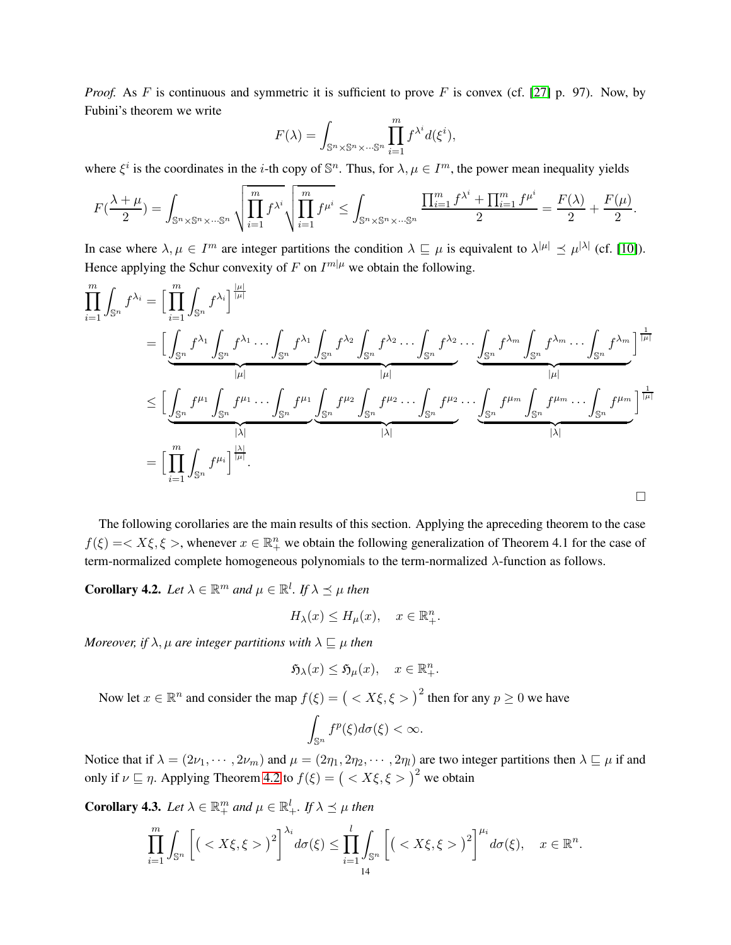*Proof.* As F is continuous and symmetric it is sufficient to prove F is convex (cf. [\[27\]](#page-15-10) p. 97). Now, by Fubini's theorem we write

$$
F(\lambda) = \int_{\mathbb{S}^n \times \mathbb{S}^n \times \dots \mathbb{S}^n} \prod_{i=1}^m f^{\lambda^i} d(\xi^i),
$$

where  $\xi^i$  is the coordinates in the *i*-th copy of  $\mathbb{S}^n$ . Thus, for  $\lambda, \mu \in I^m$ , the power mean inequality yields

$$
F(\frac{\lambda+\mu}{2})=\int_{\mathbb{S}^n\times\mathbb{S}^n\times\cdots\mathbb{S}^n}\sqrt{\prod_{i=1}^m f^{\lambda^i}}\sqrt{\prod_{i=1}^m f^{\mu^i}}\leq \int_{\mathbb{S}^n\times\mathbb{S}^n\times\cdots\mathbb{S}^n}\frac{\prod_{i=1}^m f^{\lambda^i}+\prod_{i=1}^m f^{\mu^i}}{2}=\frac{F(\lambda)}{2}+\frac{F(\mu)}{2}.
$$

In case where  $\lambda, \mu \in I^m$  are integer partitions the condition  $\lambda \sqsubseteq \mu$  is equivalent to  $\lambda^{|\mu|} \preceq \mu^{|\lambda|}$  (cf. [\[10\]](#page-14-0)). Hence applying the Schur convexity of F on  $I^{m|\mu}$  we obtain the following.

$$
\prod_{i=1}^{m} \int_{\mathbb{S}^{n}} f^{\lambda_{i}} = \Big[ \prod_{i=1}^{m} \int_{\mathbb{S}^{n}} f^{\lambda_{i}} \Big]^{\frac{|\mu|}{|\mu|}} \n= \Big[ \underbrace{\int_{\mathbb{S}^{n}} f^{\lambda_{1}} \int_{\mathbb{S}^{n}} f^{\lambda_{1}} \dots \int_{\mathbb{S}^{n}} f^{\lambda_{1}} \int_{\mathbb{S}^{n}} f^{\lambda_{2}} \dots \int_{\mathbb{S}^{n}} f^{\lambda_{2}} \dots \int_{\mathbb{S}^{n}} f^{\lambda_{m}} \int_{\mathbb{S}^{n}} f^{\lambda_{m}} \dots \int_{\mathbb{S}^{n}} f^{\lambda_{m}} \dots \int_{\mathbb{S}^{n}} f^{\lambda_{m}} \Big]^{\frac{1}{|\mu|}}}{|\mu|} \n\leq \Big[ \underbrace{\int_{\mathbb{S}^{n}} f^{\mu_{1}} \int_{\mathbb{S}^{n}} f^{\mu_{1}} \dots \int_{\mathbb{S}^{n}} f^{\mu_{1}} \underbrace{\int_{\mathbb{S}^{n}} f^{\mu_{2}} \int_{\mathbb{S}^{n}} f^{\mu_{2}} \dots \int_{\mathbb{S}^{n}} f^{\mu_{2}} \dots \int_{\mathbb{S}^{n}} f^{\mu_{m}} \int_{\mathbb{S}^{n}} f^{\mu_{m}} \dots \int_{\mathbb{S}^{n}} f^{\mu_{m}} \Big]^{\frac{1}{|\mu|}}}{|\lambda|} \n= \Big[ \prod_{i=1}^{m} \int_{\mathbb{S}^{n}} f^{\mu_{i}} \Big]^{\frac{|\lambda|}{|\mu|}}.
$$

The following corollaries are the main results of this section. Applying the apreceding theorem to the case  $f(\xi) = \langle X\xi, \xi \rangle$ , whenever  $x \in \mathbb{R}^n_+$  we obtain the following generalization of Theorem 4.1 for the case of term-normalized complete homogeneous polynomials to the term-normalized  $\lambda$ -function as follows.

**Corollary 4.2.** Let  $\lambda \in \mathbb{R}^m$  and  $\mu \in \mathbb{R}^l$ . If  $\lambda \preceq \mu$  then

$$
H_{\lambda}(x) \le H_{\mu}(x), \quad x \in \mathbb{R}^n_+.
$$

*Moreover, if*  $\lambda$ ,  $\mu$  *are integer partitions with*  $\lambda \sqsubseteq \mu$  *then* 

$$
\mathfrak{H}_{\lambda}(x) \leq \mathfrak{H}_{\mu}(x), \quad x \in \mathbb{R}^n_+.
$$

Now let  $x \in \mathbb{R}^n$  and consider the map  $f(\xi) = ( \langle X \xi, \xi \rangle )^2$  then for any  $p \ge 0$  we have

$$
\int_{\mathbb{S}^n} f^p(\xi) d\sigma(\xi) < \infty.
$$

Notice that if  $\lambda = (2\nu_1, \dots, 2\nu_m)$  and  $\mu = (2\eta_1, 2\eta_2, \dots, 2\eta_l)$  are two integer partitions then  $\lambda \sqsubseteq \mu$  if and only if  $\nu \sqsubseteq \eta$ . Applying Theorem [4.2](#page-12-0) to  $f(\xi) = ( \langle X \xi, \xi \rangle)^2$  we obtain

**Corollary 4.3.** Let  $\lambda \in \mathbb{R}^m_+$  and  $\mu \in \mathbb{R}^l_+$ . If  $\lambda \preceq \mu$  then

$$
\prod_{i=1}^m \int_{\mathbb{S}^n} \left[ \left( \langle X\xi, \xi \rangle \right)^2 \right]^{\lambda_i} d\sigma(\xi) \leq \prod_{i=1}^l \int_{\mathbb{S}^n} \left[ \left( \langle X\xi, \xi \rangle \right)^2 \right]^{\mu_i} d\sigma(\xi), \quad x \in \mathbb{R}^n.
$$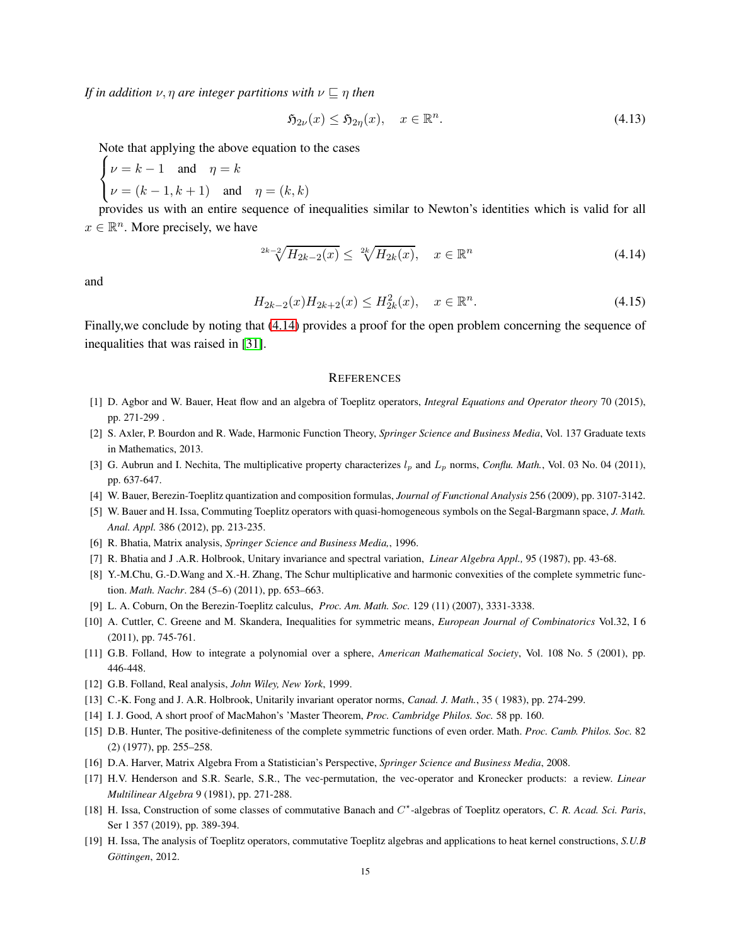*If in addition*  $\nu$ ,  $\eta$  *are integer partitions with*  $\nu \sqsubseteq \eta$  *then* 

$$
\mathfrak{H}_{2\nu}(x) \le \mathfrak{H}_{2\eta}(x), \quad x \in \mathbb{R}^n. \tag{4.13}
$$

Note that applying the above equation to the cases

$$
\begin{cases} \nu = k - 1 \quad \text{and} \quad \eta = k \\ \nu = (k - 1, k + 1) \quad \text{and} \quad \eta = (k, k) \end{cases}
$$

provides us with an entire sequence of inequalities similar to Newton's identities which is valid for all  $x \in \mathbb{R}^n$ . More precisely, we have

<span id="page-14-16"></span>
$$
2^{k-2} \sqrt{H_{2k-2}(x)} \le 2^k \sqrt{H_{2k}(x)}, \quad x \in \mathbb{R}^n
$$
\n(4.14)

and

$$
H_{2k-2}(x)H_{2k+2}(x) \le H_{2k}^2(x), \quad x \in \mathbb{R}^n. \tag{4.15}
$$

Finally,we conclude by noting that [\(4.14\)](#page-14-16) provides a proof for the open problem concerning the sequence of inequalities that was raised in [\[31\]](#page-15-0).

#### **REFERENCES**

- <span id="page-14-12"></span><span id="page-14-5"></span>[1] D. Agbor and W. Bauer, Heat flow and an algebra of Toeplitz operators, *Integral Equations and Operator theory* 70 (2015), pp. 271-299 .
- [2] S. Axler, P. Bourdon and R. Wade, Harmonic Function Theory, *Springer Science and Business Media*, Vol. 137 Graduate texts in Mathematics, 2013.
- <span id="page-14-13"></span>[3] G. Aubrun and I. Nechita, The multiplicative property characterizes  $l_p$  and  $L_p$  norms, *Conflu. Math.*, Vol. 03 No. 04 (2011), pp. 637-647.
- <span id="page-14-7"></span>[4] W. Bauer, Berezin-Toeplitz quantization and composition formulas, *Journal of Functional Analysis* 256 (2009), pp. 3107-3142.
- <span id="page-14-11"></span>[5] W. Bauer and H. Issa, Commuting Toeplitz operators with quasi-homogeneous symbols on the Segal-Bargmann space, *J. Math. Anal. Appl.* 386 (2012), pp. 213-235.
- <span id="page-14-1"></span>[6] R. Bhatia, Matrix analysis, *Springer Science and Business Media,*, 1996.
- [7] R. Bhatia and J .A.R. Holbrook, Unitary invariance and spectral variation, *Linear Algebra Appl.,* 95 (1987), pp. 43-68.
- <span id="page-14-14"></span>[8] Y.-M.Chu, G.-D.Wang and X.-H. Zhang, The Schur multiplicative and harmonic convexities of the complete symmetric function. *Math. Nachr*. 284 (5–6) (2011), pp. 653–663.
- <span id="page-14-0"></span>[9] L. A. Coburn, On the Berezin-Toeplitz calculus, *Proc. Am. Math. Soc.* 129 (11) (2007), 3331-3338.
- <span id="page-14-10"></span>[10] A. Cuttler, C. Greene and M. Skandera, Inequalities for symmetric means, *European Journal of Combinatorics* Vol.32, I 6 (2011), pp. 745-761.
- <span id="page-14-6"></span>[11] G.B. Folland, How to integrate a polynomial over a sphere, *American Mathematical Society*, Vol. 108 No. 5 (2001), pp. 446-448.
- [12] G.B. Folland, Real analysis, *John Wiley, New York*, 1999.
- <span id="page-14-15"></span>[13] C.-K. Fong and J. A.R. Holbrook, Unitarily invariant operator norms, *Canad. J. Math.*, 35 ( 1983), pp. 274-299.
- <span id="page-14-2"></span>[14] I. J. Good, A short proof of MacMahon's 'Master Theorem, *Proc. Cambridge Philos. Soc.* 58 pp. 160.
- <span id="page-14-3"></span>[15] D.B. Hunter, The positive-definiteness of the complete symmetric functions of even order. Math. *Proc. Camb. Philos. Soc.* 82 (2) (1977), pp. 255–258.
- <span id="page-14-4"></span>[16] D.A. Harver, Matrix Algebra From a Statistician's Perspective, *Springer Science and Business Media*, 2008.
- <span id="page-14-8"></span>[17] H.V. Henderson and S.R. Searle, S.R., The vec-permutation, the vec-operator and Kronecker products: a review. *Linear Multilinear Algebra* 9 (1981), pp. 271-288.
- [18] H. Issa, Construction of some classes of commutative Banach and C<sup>\*</sup>-algebras of Toeplitz operators, *C. R. Acad. Sci. Paris*, Ser 1 357 (2019), pp. 389-394.
- <span id="page-14-9"></span>[19] H. Issa, The analysis of Toeplitz operators, commutative Toeplitz algebras and applications to heat kernel constructions, *S.U.B G¨ottingen*, 2012.